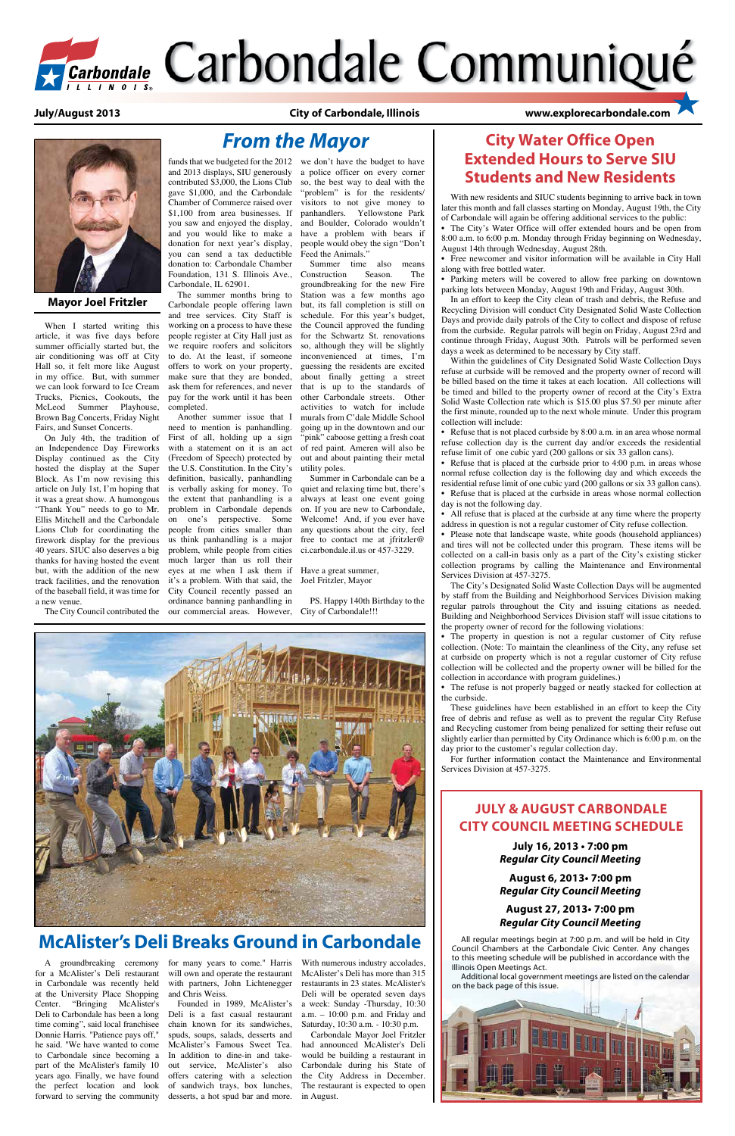

# *FCarbondale* Carbondale Communiqué

 **July/August 2013 City of Carbondale, Illinois www.explorecarbondale.com**

When I started writing this article, it was five days before summer officially started but, the air conditioning was off at City Hall so, it felt more like August in my office. But, with summer we can look forward to Ice Cream Trucks, Picnics, Cookouts, the McLeod Summer Playhouse, Brown Bag Concerts, Friday Night Fairs, and Sunset Concerts.

## **JULY & AUGUST CARBONDALE City CounCiL Meeting SCheduLe**



On July 4th, the tradition of an Independence Day Fireworks Display continued as the City hosted the display at the Super Block. As I'm now revising this article on July 1st, I'm hoping that it was a great show. A humongous "Thank You" needs to go to Mr. Ellis Mitchell and the Carbondale Lions Club for coordinating the firework display for the previous 40 years. SIUC also deserves a big thanks for having hosted the event but, with the addition of the new of the baseball field, it was time for a new venue.

and 2013 displays, SIU generously contributed \$3,000, the Lions Club gave \$1,000, and the Carbondale Chamber of Commerce raised over \$1,100 from area businesses. If you saw and enjoyed the display, and you would like to make a donation for next year's display, you can send a tax deductible donation to: Carbondale Chamber Foundation, 131 S. Illinois Ave.,

Carbondale, IL 62901. The summer months bring to

Carbondale people offering lawn and tree services. City Staff is working on a process to have these people register at City Hall just as we require roofers and solicitors to do. At the least, if someone offers to work on your property, make sure that they are bonded, ask them for references, and never pay for the work until it has been completed.

track facilities, and the renovation it's a problem. With that said, the Joel Fritzler, Mayor Another summer issue that I need to mention is panhandling. First of all, holding up a sign with a statement on it is an act (Freedom of Speech) protected by the U.S. Constitution. In the City's definition, basically, panhandling is verbally asking for money. To the extent that panhandling is a problem in Carbondale depends on one's perspective. Some people from cities smaller than us think panhandling is a major problem, while people from cities much larger than us roll their eyes at me when I ask them if Have a great summer, City Council recently passed an ordinance banning panhandling in

The City Council contributed the our commercial areas. However,

funds that we budgeted for the 2012 we don't have the budget to have a police officer on every corner so, the best way to deal with the "problem" is for the residents/ visitors to not give money to panhandlers. Yellowstone Park and Boulder, Colorado wouldn't have a problem with bears if people would obey the sign "Don't Feed the Animals."

# **City Water office open Extended Hours to Serve SIU Students and New Residents**

• The City's Water Office will offer extended hours and be open from 8:00 a.m. to 6:00 p.m. Monday through Friday beginning on Wednesday, August 14th through Wednesday, August 28th.

• Free newcomer and visitor information will be available in City Hall along with free bottled water.

Summer time also means Construction Season. The groundbreaking for the new Fire Station was a few months ago but, its fall completion is still on schedule. For this year's budget, the Council approved the funding for the Schwartz St. renovations so, although they will be slightly inconvenienced at times, I'm guessing the residents are excited about finally getting a street that is up to the standards of other Carbondale streets. Other activities to watch for include murals from C'dale Middle School going up in the downtown and our "pink" caboose getting a fresh coat of red paint. Ameren will also be out and about painting their metal utility poles.

Summer in Carbondale can be a quiet and relaxing time but, there's always at least one event going on. If you are new to Carbondale, Welcome! And, if you ever have any questions about the city, feel free to contact me at jfritzler@ ci.carbondale.il.us or 457-3229.

• Refuse that is not placed curbside by 8:00 a.m. in an area whose normal refuse collection day is the current day and/or exceeds the residential refuse limit of one cubic yard (200 gallons or six 33 gallon cans).

PS. Happy 140th Birthday to the City of Carbondale!!!



• Refuse that is placed at the curbside prior to  $4:00$  p.m. in areas whose normal refuse collection day is the following day and which exceeds the residential refuse limit of one cubic yard (200 gallons or six 33 gallon cans).

*From the Mayor*



**Mayor Joel Fritzler**

• Refuse that is placed at the curbside in areas whose normal collection day is not the following day.

# **McAlister's Deli Breaks Ground in Carbondale**

• All refuse that is placed at the curbside at any time where the property address in question is not a regular customer of City refuse collection.

• Please note that landscape waste, white goods (household appliances) and tires will not be collected under this program. These items will be collected on a call-in basis only as a part of the City's existing sticker collection programs by calling the Maintenance and Environmental Services Division at 457-3275.

• The property in question is not a regular customer of City refuse collection. (Note: To maintain the cleanliness of the City, any refuse set at curbside on property which is not a regular customer of City refuse collection will be collected and the property owner will be billed for the collection in accordance with program guidelines.)

• The refuse is not properly bagged or neatly stacked for collection at the curbside.

A groundbreaking ceremony for a McAlister's Deli restaurant in Carbondale was recently held at the University Place Shopping Center. "Bringing McAlister's Deli to Carbondale has been a long time coming", said local franchisee Donnie Harris. "Patience pays off," he said. "We have wanted to come to Carbondale since becoming a part of the McAlister's family 10 years ago. Finally, we have found the perfect location and look forward to serving the community

for many years to come." Harris will own and operate the restaurant with partners, John Lichtenegger and Chris Weiss.

Founded in 1989, McAlister's Deli is a fast casual restaurant chain known for its sandwiches, spuds, soups, salads, desserts and McAlister's Famous Sweet Tea. In addition to dine-in and takeout service, McAlister's also offers catering with a selection of sandwich trays, box lunches, desserts, a hot spud bar and more.

With numerous industry accolades, McAlister's Deli has more than 315 restaurants in 23 states. McAlister's Deli will be operated seven days a week: Sunday -Thursday, 10:30 a.m. – 10:00 p.m. and Friday and Saturday, 10:30 a.m. - 10:30 p.m. Carbondale Mayor Joel Fritzler had announced McAlister's Deli would be building a restaurant in Carbondale during his State of the City Address in December. The restaurant is expected to open in August.

All regular meetings begin at 7:00 p.m. and will be held in City Council Chambers at the Carbondale Civic Center. Any changes to this meeting schedule will be published in accordance with the Illinois Open Meetings Act.

Additional local government meetings are listed on the calendar on the back page of this issue.



**July 16, 2013 • 7:00 pm** *Regular City Council Meeting* 

**August 6, 2013• 7:00 pm** *Regular City Council Meeting*

#### **August 27, 2013• 7:00 pm** *Regular City Council Meeting*

With new residents and SIUC students beginning to arrive back in town later this month and fall classes starting on Monday, August 19th, the City of Carbondale will again be offering additional services to the public:

• Parking meters will be covered to allow free parking on downtown parking lots between Monday, August 19th and Friday, August 30th.

In an effort to keep the City clean of trash and debris, the Refuse and Recycling Division will conduct City Designated Solid Waste Collection Days and provide daily patrols of the City to collect and dispose of refuse from the curbside. Regular patrols will begin on Friday, August 23rd and continue through Friday, August 30th. Patrols will be performed seven days a week as determined to be necessary by City staff.

Within the guidelines of City Designated Solid Waste Collection Days refuse at curbside will be removed and the property owner of record will be billed based on the time it takes at each location. All collections will be timed and billed to the property owner of record at the City's Extra Solid Waste Collection rate which is \$15.00 plus \$7.50 per minute after the first minute, rounded up to the next whole minute. Under this program collection will include:

The City's Designated Solid Waste Collection Days will be augmented by staff from the Building and Neighborhood Services Division making regular patrols throughout the City and issuing citations as needed. Building and Neighborhood Services Division staff will issue citations to the property owner of record for the following violations:

These guidelines have been established in an effort to keep the City free of debris and refuse as well as to prevent the regular City Refuse and Recycling customer from being penalized for setting their refuse out slightly earlier than permitted by City Ordinance which is 6:00 p.m. on the day prior to the customer's regular collection day.

For further information contact the Maintenance and Environmental Services Division at 457-3275.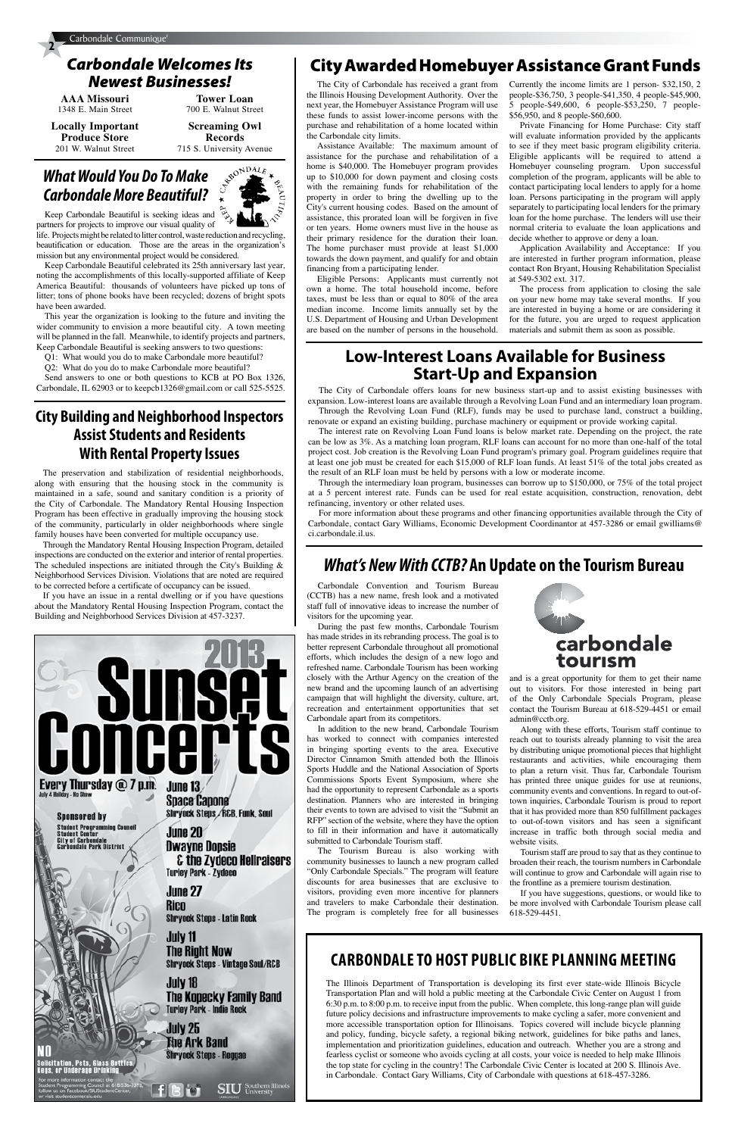**AAA Missouri** 1348 E. Main Street

**Locally Important Produce Store** 201 W. Walnut Street

**Tower Loan** 700 E. Walnut Street **Screaming Owl** 

**Records** 715 S. University Avenue

# *What Would You Do To Make Carbondale More Beautiful?*

Keep Carbondale Beautiful is seeking ideas and



partners for projects to improve our visual quality of life. Projects might be related to litter control, waste reduction and recycling, beautification or education. Those are the areas in the organization's mission but any environmental project would be considered.

Keep Carbondale Beautiful celebrated its 25th anniversary last year, noting the accomplishments of this locally-supported affiliate of Keep America Beautiful: thousands of volunteers have picked up tons of litter; tons of phone books have been recycled; dozens of bright spots have been awarded.

This year the organization is looking to the future and inviting the wider community to envision a more beautiful city. A town meeting will be planned in the fall. Meanwhile, to identify projects and partners, Keep Carbondale Beautiful is seeking answers to two questions:

Q1: What would you do to make Carbondale more beautiful?

Q2: What do you do to make Carbondale more beautiful?

Send answers to one or both questions to KCB at PO Box 1326, Carbondale, IL 62903 or to keepcb1326@gmail.com or call 525-5525.

# *Carbondale Welcomes Its Newest Businesses!*

# *What's New With CCTB?* **An Update on the Tourism Bureau**

Carbondale Convention and Tourism Bureau (CCTB) has a new name, fresh look and a motivated staff full of innovative ideas to increase the number of visitors for the upcoming year.

During the past few months, Carbondale Tourism has made strides in its rebranding process. The goal is to better represent Carbondale throughout all promotional efforts, which includes the design of a new logo and refreshed name. Carbondale Tourism has been working closely with the Arthur Agency on the creation of the new brand and the upcoming launch of an advertising campaign that will highlight the diversity, culture, art, recreation and entertainment opportunities that set Carbondale apart from its competitors.

In addition to the new brand, Carbondale Tourism has worked to connect with companies interested in bringing sporting events to the area. Executive Director Cinnamon Smith attended both the Illinois Sports Huddle and the National Association of Sports Commissions Sports Event Symposium, where she had the opportunity to represent Carbondale as a sports destination. Planners who are interested in bringing their events to town are advised to visit the "Submit an RFP" section of the website, where they have the option to fill in their information and have it automatically



submitted to Carbondale Tourism staff.

The Tourism Bureau is also working with community businesses to launch a new program called "Only Carbondale Specials." The program will feature discounts for area businesses that are exclusive to visitors, providing even more incentive for planners and travelers to make Carbondale their destination. The program is completely free for all businesses

and is a great opportunity for them to get their name out to visitors. For those interested in being part of the Only Carbondale Specials Program, please contact the Tourism Bureau at 618-529-4451 or email admin@cctb.org.

Along with these efforts, Tourism staff continue to reach out to tourists already planning to visit the area by distributing unique promotional pieces that highlight restaurants and activities, while encouraging them to plan a return visit. Thus far, Carbondale Tourism has printed three unique guides for use at reunions, community events and conventions. In regard to out-oftown inquiries, Carbondale Tourism is proud to report that it has provided more than 850 fulfillment packages to out-of-town visitors and has seen a significant increase in traffic both through social media and

**City of Carbondale<br>Carbondale Park District** 

ation, Pets, Glass Bottle:<br>Ir Underage Drinking

**Dwayne Dopsie & the Zydeco Hellraisers Turley Park - Zydeco** 

June 27 Rico Shryock Steps - Latin Rock

July 11 The Right Now **Shryock Steps - Vintage Soul/R&B** 

July 18 The Kopecky Family Band **Turley Park - Indie Rock** 

**SIU** Southern Illino

July 25 Fhe Ark Band Shryock Steps - Reggae website visits.

Tourism staff are proud to say that as they continue to broaden their reach, the tourism numbers in Carbondale will continue to grow and Carbondale will again rise to the frontline as a premiere tourism destination.

If you have suggestions, questions, or would like to be more involved with Carbondale Tourism please call 618-529-4451.

The City of Carbondale has received a grant from the Illinois Housing Development Authority. Over the next year, the Homebuyer Assistance Program will use these funds to assist lower-income persons with the purchase and rehabilitation of a home located within the Carbondale city limits.

Assistance Available: The maximum amount of assistance for the purchase and rehabilitation of a home is \$40,000. The Homebuyer program provides up to \$10,000 for down payment and closing costs with the remaining funds for rehabilitation of the property in order to bring the dwelling up to the City's current housing codes. Based on the amount of assistance, this prorated loan will be forgiven in five or ten years. Home owners must live in the house as their primary residence for the duration their loan. The home purchaser must provide at least \$1,000 towards the down payment, and qualify for and obtain financing from a participating lender.

Eligible Persons: Applicants must currently not own a home. The total household income, before taxes, must be less than or equal to 80% of the area median income. Income limits annually set by the U.S. Department of Housing and Urban Development are based on the number of persons in the household.

Currently the income limits are 1 person- \$32,150, 2 people-\$36,750, 3 people-\$41,350, 4 people-\$45,900, 5 people-\$49,600, 6 people-\$53,250, 7 people- \$56,950, and 8 people-\$60,600.

Private Financing for Home Purchase: City staff will evaluate information provided by the applicants to see if they meet basic program eligibility criteria. Eligible applicants will be required to attend a Homebuyer counseling program. Upon successful completion of the program, applicants will be able to contact participating local lenders to apply for a home loan. Persons participating in the program will apply separately to participating local lenders for the primary loan for the home purchase. The lenders will use their normal criteria to evaluate the loan applications and decide whether to approve or deny a loan.

Application Availability and Acceptance: If you are interested in further program information, please contact Ron Bryant, Housing Rehabilitation Specialist at 549-5302 ext. 317.

The process from application to closing the sale on your new home may take several months. If you are interested in buying a home or are considering it for the future, you are urged to request application materials and submit them as soon as possible.

The City of Carbondale offers loans for new business start-up and to assist existing businesses with expansion. Low-interest loans are available through a Revolving Loan Fund and an intermediary loan program. Through the Revolving Loan Fund (RLF), funds may be used to purchase land, construct a building,

renovate or expand an existing building, purchase machinery or equipment or provide working capital.

The interest rate on Revolving Loan Fund loans is below market rate. Depending on the project, the rate can be low as 3%. As a matching loan program, RLF loans can account for no more than one-half of the total **With Rental Property Issues** roject cost. Job creation is the Revolving Loan Fund program's primary goal. Program guidelines require that at least one job must be created for each \$15,000 of RLF loan funds. At least 51% o at least one job must be created for each \$15,000 of RLF loan funds. At least 51% of the total jobs created as the result of an RLF loan must be held by persons with a low or moderate income.

Through the intermediary loan program, businesses can borrow up to \$150,000, or 75% of the total project at a 5 percent interest rate. Funds can be used for real estate acquisition, construction, renovation, debt refinancing, inventory or other related uses.

For more information about these programs and other financing opportunities available through the City of Carbondale, contact Gary Williams, Economic Development Coordinantor at 457-3286 or email gwilliams@ ci.carbondale.il.us.

# **Low-Interest Loans Available for Business Start-Up and Expansion**

The preservation and stabilization of residential neighborhoods, along with ensuring that the housing stock in the community is maintained in a safe, sound and sanitary condition is a priority of the City of Carbondale. The Mandatory Rental Housing Inspection Program has been effective in gradually improving the housing stock of the community, particularly in older neighborhoods where single family houses have been converted for multiple occupancy use.

Through the Mandatory Rental Housing Inspection Program, detailed inspections are conducted on the exterior and interior of rental properties. The scheduled inspections are initiated through the City's Building  $\&$ Neighborhood Services Division. Violations that are noted are required to be corrected before a certificate of occupancy can be issued.

If you have an issue in a rental dwelling or if you have questions about the Mandatory Rental Housing Inspection Program, contact the Building and Neighborhood Services Division at 457-3237.



# **City Awarded Homebuyer Assistance Grant Funds**

# **City Building and Neighborhood Inspectors Assist Students and Residents**

# **CARBONdAle TO HOST PUBlIC BIke PlANNING MeeTING**

The Illinois Department of Transportation is developing its first ever state-wide Illinois Bicycle Transportation Plan and will hold a public meeting at the Carbondale Civic Center on August 1 from 6:30 p.m. to 8:00 p.m. to receive input from the public. When complete, this long-range plan will guide future policy decisions and infrastructure improvements to make cycling a safer, more convenient and more accessible transportation option for Illinoisans. Topics covered will include bicycle planning and policy, funding, bicycle safety, a regional biking network, guidelines for bike paths and lanes, implementation and prioritization guidelines, education and outreach. Whether you are a strong and fearless cyclist or someone who avoids cycling at all costs, your voice is needed to help make Illinois the top state for cycling in the country! The Carbondale Civic Center is located at 200 S. Illinois Ave. in Carbondale. Contact Gary Williams, City of Carbondale with questions at 618-457-3286.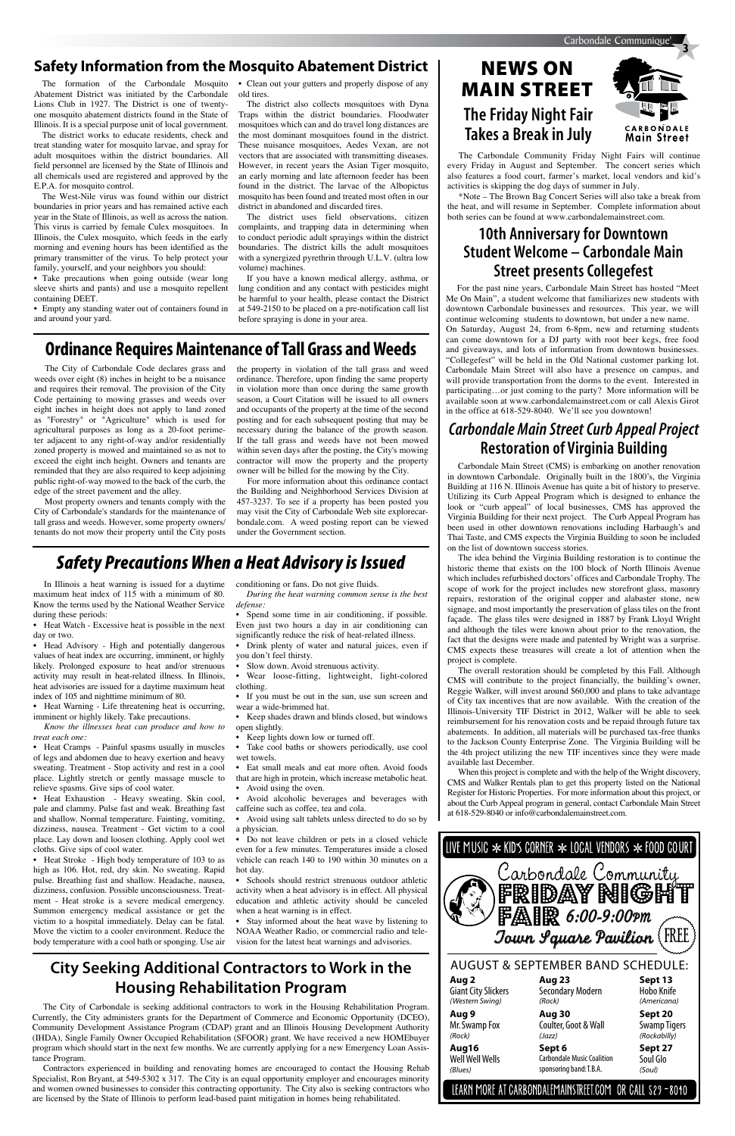The formation of the Carbondale Mosquito • Clean out your gutters and properly dispose of any **MAIN STREET** Abatement District was initiated by the Carbondale Lions Club in 1927. The District is one of twentyone mosquito abatement districts found in the State of Illinois. It is a special purpose unit of local government.

The district works to educate residents, check and treat standing water for mosquito larvae, and spray for adult mosquitoes within the district boundaries. All field personnel are licensed by the State of Illinois and all chemicals used are registered and approved by the E.P.A. for mosquito control.

• Take precautions when going outside (wear long sleeve shirts and pants) and use a mosquito repellent containing DEET.

The West-Nile virus was found within our district boundaries in prior years and has remained active each year in the State of Illinois, as well as across the nation. This virus is carried by female Culex mosquitoes. In Illinois, the Culex mosquito, which feeds in the early morning and evening hours has been identified as the primary transmitter of the virus. To help protect your family, yourself, and your neighbors you should:

• Empty any standing water out of containers found in and around your yard.

old tires.

The district also collects mosquitoes with Dyna Traps within the district boundaries. Floodwater mosquitoes which can and do travel long distances are the most dominant mosquitoes found in the district. These nuisance mosquitoes, Aedes Vexan, are not vectors that are associated with transmitting diseases. However, in recent years the Asian Tiger mosquito, an early morning and late afternoon feeder has been found in the district. The larvae of the Albopictus mosquito has been found and treated most often in our district in abandoned and discarded tires.

# News oN **The Friday Night Fair Takes a Break in July**



The district uses field observations, citizen complaints, and trapping data in determining when to conduct periodic adult sprayings within the district boundaries. The district kills the adult mosquitoes with a synergized pyrethrin through U.L.V. (ultra low volume) machines.

If you have a known medical allergy, asthma, or lung condition and any contact with pesticides might be harmful to your health, please contact the District at 549-2150 to be placed on a pre-notification call list before spraying is done in your area.

# **Safety Information from the Mosquito Abatement District**

The Carbondale Community Friday Night Fairs will continue every Friday in August and September. The concert series which also features a food court, farmer's market, local vendors and kid's activities is skipping the dog days of summer in July.

• Heat Watch - Excessive heat is possible in the next day or two.

\*Note – The Brown Bag Concert Series will also take a break from the heat, and will resume in September. Complete information about both series can be found at www.carbondalemainstreet.com.

# **10th Anniversary for Downtown Student Welcome – Carbondale Main Street presents Collegefest**

Heat Warning - Life threatening heat is occurring, imminent or highly likely. Take precautions.

• Heat Cramps - Painful spasms usually in muscles of legs and abdomen due to heavy exertion and heavy sweating. Treatment - Stop activity and rest in a cool place. Lightly stretch or gently massage muscle to relieve spasms. Give sips of cool water.

• Heat Exhaustion - Heavy sweating. Skin cool, pale and clammy. Pulse fast and weak. Breathing fast and shallow. Normal temperature. Fainting, vomiting, dizziness, nausea. Treatment - Get victim to a cool

For the past nine years, Carbondale Main Street has hosted "Meet Me On Main", a student welcome that familiarizes new students with downtown Carbondale businesses and resources. This year, we will continue welcoming students to downtown, but under a new name. On Saturday, August 24, from 6-8pm, new and returning students can come downtown for a DJ party with root beer kegs, free food and giveaways, and lots of information from downtown businesses. "Collegefest" will be held in the Old National customer parking lot. Carbondale Main Street will also have a presence on campus, and will provide transportation from the dorms to the event. Interested in participating…or just coming to the party? More information will be available soon at www.carbondalemainstreet.com or call Alexis Girot in the office at 618-529-8040. We'll see you downtown!

• Heat Stroke - High body temperature of 103 to as high as 106. Hot, red, dry skin. No sweating. Rapid pulse. Breathing fast and shallow. Headache, nausea, dizziness, confusion. Possible unconsciousness. Treatment - Heat stroke is a severe medical emergency. Summon emergency medical assistance or get the victim to a hospital immediately. Delay can be fatal. Move the victim to a cooler environment. Reduce the body temperature with a cool bath or sponging. Use air

Wear loose-fitting, lightweight, light-colored clothing.

Do not leave children or pets in a closed vehicle even for a few minutes. Temperatures inside a closed vehicle can reach 140 to 190 within 30 minutes on a hot day.

- Schools should restrict strenuous outdoor athletic activity when a heat advisory is in effect. All physical education and athletic activity should be canceled when a heat warning is in effect.
- Stay informed about the heat wave by listening to NOAA Weather Radio, or commercial radio and television for the latest heat warnings and advisories.

the property in violation of the tall grass and weed ordinance. Therefore, upon finding the same property in violation more than once during the same growth season, a Court Citation will be issued to all owners and occupants of the property at the time of the second posting and for each subsequent posting that may be necessary during the balance of the growth season. If the tall grass and weeds have not been mowed within seven days after the posting, the City's mowing contractor will mow the property and the property owner will be billed for the mowing by the City. zoned property is mowed and maintained so as not to within seven days after the posting, the City's mowing<br>exceed the eight inch height. Owners and tenants are contractor will mow the property and the property<br>reminded tha

# *Safety Precautions When a Heat Advisory is Issued*

In Illinois a heat warning is issued for a daytime maximum heat index of 115 with a minimum of 80. Know the terms used by the National Weather Service during these periods:

• Head Advisory - High and potentially dangerous values of heat index are occurring, imminent, or highly likely. Prolonged exposure to heat and/or strenuous activity may result in heat-related illness. In Illinois, heat advisories are issued for a daytime maximum heat index of 105 and nighttime minimum of 80.

*Know the illnesses heat can produce and how to treat each one:* 

place. Lay down and loosen clothing. Apply cool wet cloths. Give sips of cool water.

conditioning or fans. Do not give fluids.

*During the heat warning common sense is the best defense:*

• Spend some time in air conditioning, if possible. Even just two hours a day in air conditioning can significantly reduce the risk of heat-related illness.

• Drink plenty of water and natural juices, even if you don't feel thirsty.

Slow down. Avoid strenuous activity.

# **City Seeking Additional Contractors to Work in the Fig. AUGUST & SEPTEMBER BAND SCHEDULE: Housing Rehabilitation Program**

- • If you must be out in the sun, use sun screen and wear a wide-brimmed hat.
- • Keep shades drawn and blinds closed, but windows open slightly.
- • Keep lights down low or turned off.
- • Take cool baths or showers periodically, use cool wet towels.
- • Eat small meals and eat more often. Avoid foods that are high in protein, which increase metabolic heat.
- Avoid using the oven. Avoid alcoholic beverages and beverages with
- caffeine such as coffee, tea and cola. • Avoid using salt tablets unless directed to do so by a physician.

# **Aug 2 Aug 23 Sept 13** ife *Town Square Pavilion*  FREECarbondale Community<br>**FRIDAY NIGHT**

# **Ordinance Requires Maintenance of Tall Grass and Weeds**

The City of Carbondale Code declares grass and weeds over eight (8) inches in height to be a nuisance and requires their removal. The provision of the City Code pertaining to mowing grasses and weeds over eight inches in height does not apply to land zoned as "Forestry" or "Agriculture" which is used for agricultural purposes as long as a 20-foot perimeter adjacent to any right-of-way and/or residentially zoned property is mowed and maintained so as not to exceed the eight inch height. Owners and tenants are reminded that they are also required to keep adjoining public right-of-way mowed to the back of the curb, the edge of the street pavement and the alley.

Most property owners and tenants comply with the City of Carbondale's standards for the maintenance of tall grass and weeds. However, some property owners/ tenants do not mow their property until the City posts

For more information about this ordinance contact the Building and Neighborhood Services Division at 457-3237. To see if a property has been posted you may visit the City of Carbondale Web site explorecarbondale.com. A weed posting report can be viewed under the Government section.

in downtown Carbondale. Originally built in the 1800's, the Virginia Building at 116 N. Illinois Avenue has quite a bit of history to preserve. Utilizing its Curb Appeal Program which is designed to enhance the look or "curb appeal" of local businesses, CMS has approved the Virginia Building for their next project. The Curb Appeal Program has been used in other downtown renovations including Harbaugh's and Thai Taste, and CMS expects the Virginia Building to soon be included on the list of downtown success stories.

The idea behind the Virginia Building restoration is to continue the historic theme that exists on the 100 block of North Illinois Avenue which includes refurbished doctors' offices and Carbondale Trophy. The scope of work for the project includes new storefront glass, masonry repairs, restoration of the original copper and alabaster stone, new signage, and most importantly the preservation of glass tiles on the front façade. The glass tiles were designed in 1887 by Frank Lloyd Wright and although the tiles were known about prior to the renovation, the fact that the designs were made and patented by Wright was a surprise. CMS expects these treasures will create a lot of attention when the project is complete.

The overall restoration should be completed by this Fall. Although CMS will contribute to the project financially, the building's owner, Reggie Walker, will invest around \$60,000 and plans to take advantage of City tax incentives that are now available. With the creation of the Illinois-University TIF District in 2012, Walker will be able to seek reimbursement for his renovation costs and be repaid through future tax abatements. In addition, all materials will be purchased tax-free thanks to the Jackson County Enterprise Zone. The Virginia Building will be the 4th project utilizing the new TIF incentives since they were made available last December.

When this project is complete and with the help of the Wright discovery, CMS and Walker Rentals plan to get this property listed on the National Register for Historic Properties. For more information about this project, or about the Curb Appeal program in general, contact Carbondale Main Street at 618-529-8040 or info@carbondalemainstreet.com.

LIVE MUSIC \*KIDS CORNER \* LOCAL VENDORS \* FOOD COURT

# *Carbondale Main Street Curb Appeal Project*  **Restoration of Virginia Building**

The City of Carbondale is seeking additional contractors to work in the Housing Rehabilitation Program. Currently, the City administers grants for the Department of Commerce and Economic Opportunity (DCEO), Community Development Assistance Program (CDAP) grant and an Illinois Housing Development Authority (IHDA), Single Family Owner Occupied Rehabilitation (SFOOR) grant. We have received a new HOMEbuyer program which should start in the next few months. We are currently applying for a new Emergency Loan Assistance Program.

Contractors experienced in building and renovating homes are encouraged to contact the Housing Rehab Specialist, Ron Bryant, at 549-5302 x 317. The City is an equal opportunity employer and encourages minority and women owned businesses to consider this contracting opportunity. The City also is seeking contractors who are licensed by the State of Illinois to perform lead-based paint mitigation in homes being rehabilitated.

### LEARN MORE AT CARBONDALEMAINSTREET.COM OR CALL 529-8010

| <b>Giant City Slickers</b> | <b>Secondary Modern</b>           | <b>Hobo Knife</b>   |
|----------------------------|-----------------------------------|---------------------|
| (Western Swing)            | (Rock)                            | (Americana)         |
| Aug 9                      | Aug 30                            | Sept 20             |
| Mr. Swamp Fox              | Coulter, Goot & Wall              | <b>Swamp Tigers</b> |
| (Rock)                     | (Jazz)                            | (Rockabilly)        |
| Aug16                      | Sept 6                            | Sept 27             |
| Well Well Wells            | <b>Carbondale Music Coalition</b> | Soul Glo            |
| (Blues)                    | sponsoring band: T.B.A.           | (Soul)              |